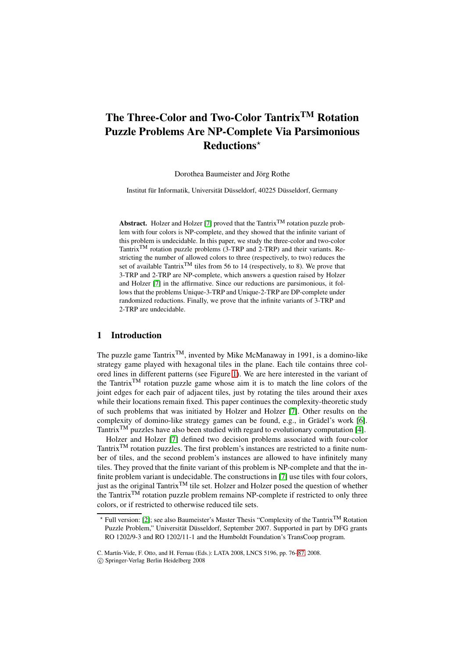# **The Three-Color and Two-Color TantrixTM Rotation Puzzle Problems Are NP-Complete Via Parsimonious Reductions**-

Dorothea Baumeister and Jörg Rothe

Institut für Informatik, Universität Düsseldorf, 40225 Düsseldorf, Germany

**Abstract.** Holzer and Holzer [7] proved that the Tantrix<sup>TM</sup> rotation puzzle problem with four colors is NP-complete, and they showed that the infinite variant of this problem is undecidable. In this paper, we study the three-color and two-color Tantrix<sup>TM</sup> rotation puzzle problems (3-TRP and 2-TRP) and their variants. Restricting the number of allowe[d c](#page-11-0)olors to three (respectively, to two) reduces the set of available Tantrix<sup>TM</sup> tiles from 56 to 14 (respectively, to 8). We prove that 3-TRP and 2-TRP are NP-complete, which answers a question raised by Holzer and Holzer [7] in the affirmative. Since our reductions are parsimonious, it follows that the problems Unique-3-TRP and Unique-2-TRP are DP-complete under randomized reductions. Finally, we prove that the infinite variants of 3-TRP and 2-TRP are undecidable.

# **1 Introduction**

<span id="page-0-0"></span>The puzzle game TantrixTM, invented by Mike McManaway in 1991, is a domino-like strategy game played with hexagonal tiles in the plane. Each tile contains three colored lines in different patterns (see Figure 1). We are here interested in the variant of the Tantrix<sup>TM</sup> rotation puzzle game whose aim it is to match the line colors of the joint edges for each pair of adjacent tiles, just by rotating the tiles around their axes while their locations remain fixed. This paper continues the complexity-theoretic study of such problems that was initiated by H[olz](#page-2-0)er and Holzer [7]. Other results on the complexity of domino-like strategy games can be found, e.g., in Grädel's work [6]. Tantrix<sup>TM</sup> puzzles have also been studied with regard to evolutionary computation [4].

Holzer and Holzer [7] defined two decision problems associated with four-color Tantrix<sup>TM</sup> rotation puzzl[es](#page-11-0). The first problem's instances are restricted to a finite number of tiles, and the second problem's instances are allowed to have infinitely m[an](#page-11-1)y tiles. They proved that the finite variant of this problem is NP-complete and that the [in](#page-11-2)finite problem variant is [un](#page-11-0)decidable. The constructions in [7] use tiles with four colors, just as the original Tantrix<sup>TM</sup> tile set. Holzer and Holzer posed the question of whether the TantrixTM rotation puzzle problem remains NP-complete if restricted to only three colors, or if restricted to otherwise reduced tile sets.

<sup>\*</sup> Full version: [2]; see also Baumeister's Master Thesis "Compl[exi](#page-11-0)ty of the Tantrix<sup>TM</sup> Rotation Puzzle Problem," Universität Düsseldorf, September 2007. Supported in part by DFG grants RO 1202/9-3 and RO 1202/11-1 and the Humboldt Foundation's TransCoop program.

C. Mart´ın-Vide, F. Otto, and H. Fernau (Eds.): LATA 2008, LNCS 5196, pp. 76–87, 2008.

<sup>-</sup>c Springer-Verla[g](#page-10-0) [B](#page-10-0)erlin Heidelberg 2008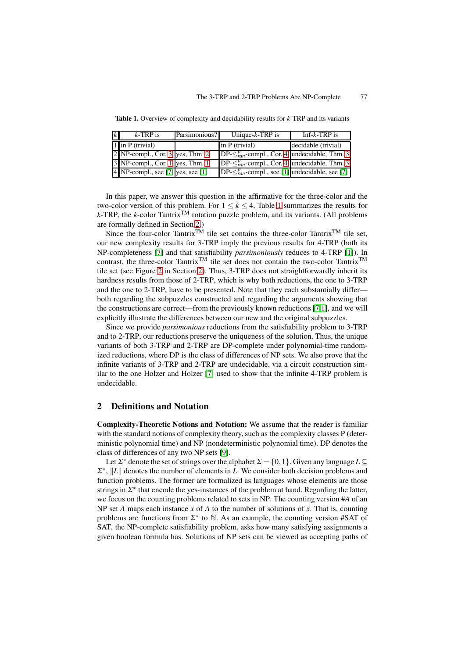| $\vert k \vert$ | $k$ -TRP is                                 | Parsimonious? | Unique- $k$ -TRP is                                                                                 | Inf- $k$ -TRP is    |
|-----------------|---------------------------------------------|---------------|-----------------------------------------------------------------------------------------------------|---------------------|
|                 | $1 \sin P$ (trivial)                        |               | $\ln P$ (trivial)                                                                                   | decidable (trivial) |
|                 | $2$ NP-compl., Cor. 3 yes, Thm. 2           |               | $\ DP - \leq_{ran}^p$ -compl., Cor. 4 undecidable, Thm. 3                                           |                     |
|                 | $\boxed{3}$ NP-compl., Cor. 1 yes, Thm. 1   |               | $\left\Vert \text{DP-}\leq_{ran}^p\text{-compl.}, \text{Cor. 4}\right\Vert$ undecidable, Thm. 3     |                     |
|                 | $\boxed{4}$ NP-compl., see [7] yes, see [1] |               | $\left\vert \text{DP-}\leq_{ran}^p\text{-compl.}, \text{see } [1] \right\vert$ undecidable, see [7] |                     |

**Table 1.** Overview of complexity and decidability results for *k*-TRP and its variants

<span id="page-1-0"></span>In this paper, we a[nsw](#page-9-0)er this q[ue](#page-9-1)stion in the affirmative [fo](#page-10-1)r the three-color [an](#page-10-2)d the two-color version of t[his](#page-9-2) problem[.](#page-4-0) [F](#page-4-0)or  $1 \leq k \leq 4$ , Table 1 [su](#page-10-1)mmarizes the res[ul](#page-10-2)ts for  $k$ -TRP, the  $k$ -color Ta[nt](#page-11-0)rix<sup>TM</sup> rot[at](#page-10-3)ion puzzle problem, and [it](#page-10-3)s variants. (All [pro](#page-11-0)blems are formally defined in Section 2.)

Since the four-color Tantrix<sup>TM</sup> tile set contains the three-color Tantrix<sup>TM</sup> tile set. our new complexity results for 3-TRP imply the previo[us](#page-1-0) results for 4-TRP (both its NP-completeness [7] and that satisfiability *parsimoniously* reduces to 4-TRP [1]). In contrast, the three-color Tantri[x](#page-1-1)<sup>TM</sup> tile set does not contain the two-color Tantrix<sup>TM</sup> tile set (see Figure 2 in Section 2). Thus, 3-TRP does not straightforwardly inherit its hardness results from those of 2-TRP, which is why both reductions, the one to 3-TRP and the one to 2-T[RP](#page-11-0), have to be presented. Note that they each substantially [diff](#page-10-3)er both regarding the subpuzzles constructed and regarding the arguments showing that the constructions a[re](#page-2-1) correct—f[rom](#page-1-1) the previously known reductions [7,1], and we will explicitly illustrate the differences between our new and the original subpuzzles.

Since we provide *parsimonious* reductions from the satisfiability problem to 3-TRP and to 2-TRP, our reductions preserve the uniqueness of the solution. Thus, the unique variants of both 3-TRP and 2-TRP are DP-complete under polyno[mia](#page-11-0)[l-t](#page-10-3)ime randomized reductions, where DP is the class of differences of NP sets. We also prove that the infinite variants of 3-TRP and 2-TRP are undecidable, via a circuit construction similar to the one Holzer and Holzer [7] used to show that the infinite 4-TRP problem is undecidable.

## **2 Definitions and Notatio[n](#page-11-0)**

<span id="page-1-1"></span>**Complexity-Theoretic Notions and Notation:** We assume that the reader is familiar with the standard notions of complexity theory, such as the complexity classes P (deterministic polynomial time) and NP (nondeterministic polynomial time). DP denotes the class of differences of any two NP sets [9].

Let  $\Sigma^*$  denote the set of strings over the alphabet  $\Sigma = \{0,1\}$ . Given any language  $L \subseteq$ <sup>Σ</sup>∗, *L* denotes the number of elements in *L*. We consider both decision problems and function problems. The former are formalized as languages whose elements are those strings in  $\Sigma^*$  that encode the yes-instan[ces](#page-11-3) of the problem at hand. Regarding the latter, we focus on the counting problems related to sets in NP. The counting version #*A* of an NP set *A* maps each instance *x* of *A* to the number of solutions of *x*. That is, counting problems are functions from  $\Sigma^*$  to N. As an example, the counting version #SAT of SAT, the NP-complete satisfiability problem, asks how many satisfying assignments a given boolean formula has. Solutions of NP sets can be viewed as accepting paths of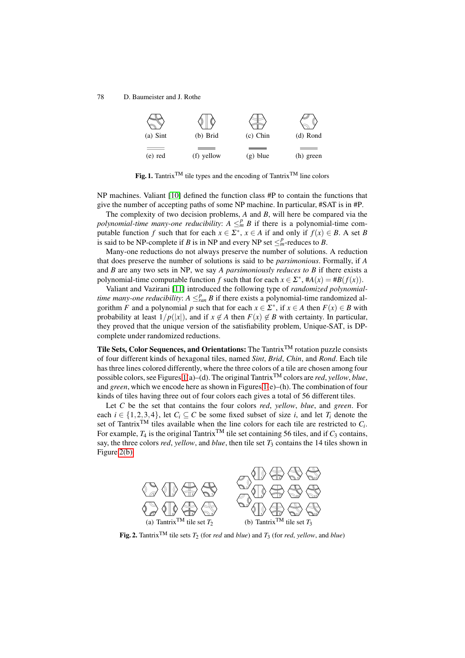

Fig. 1. Tantrix<sup>TM</sup> tile types and the encoding of Tantrix<sup>TM</sup> line colors

NP machines. Valiant [10] defined the function class #P to contain the functions that give the number of accepting paths of some NP machine. In particular, #SAT is in #P.

<span id="page-2-0"></span>The complexity of two decision problems, *A* and *B*, will here be compared via the *polynomial-time many-one reducibility:*  $A \leq_m^p B$  if there is a polynomial-time computable function *f* suc[h th](#page-11-4)at for each  $x \in \Sigma^*$ ,  $x \in A$  if and only if  $f(x) \in B$ . A set *B* is said to be NP-complete if *B* is in NP and every NP set  $\leq^p_m$ -reduces to *B*.

Many-one reductions do not always preserve the number of solutions. A reduction that does preserve the number of solutions is said to be *parsimonious*. Formally, if *A* and *B* are any two sets in NP, we say *A parsimoniously reduces to B* if there exists a polynomial-time computable function *f* such that for each  $x \in \Sigma^*$ ,  $\#A(x) = \#B(f(x))$ .

Valiant and Vazirani [11] introduced the following type of *randomized polynomialtime many-one reducibility:*  $A \leq_{ran}^p B$  if there exists a polynomial-time randomized algorithm *F* and a polynomial *p* such that for each  $x \in \Sigma^*$ , if  $x \in A$  then  $F(x) \in B$  with probability at least  $1/p(|x|)$ , and if  $x \notin A$  then  $F(x) \notin B$  with certainty. In particular, they proved that the uni[que](#page-11-5) version of the satisfiability problem, Unique-SAT, is DPcomplete under randomized reductions.

**Tile Sets, Color Sequences, and Orientations:** The Tantrix<sup>TM</sup> rotation puzzle consists of four different kinds of hexagonal tiles, named *Sint*, *Brid*, *Chin*, and *Rond*. Each tile has three lines colored differently, where the three colors of a tile are chosen among four possible colors, see Figures 1(a)–(d). The original TantrixTM colors are *red*, *yellow*, *blue*, and *green*, which we encode here as shown in Figures 1(e)–(h). The combination of four kinds of tiles having three out of four colors each gives a total of 56 different tiles.

Let *C* be the set that contains the four colors *red*, *yellow*, *blue*, and *green*. For each  $i \in \{1,2,3,4\}$ , let  $C_i \subseteq C$  be some fixed subset of size *i*, and let  $T_i$  denote the set of Tantrix<sup>TM</sup> tiles available when the line color[s fo](#page-2-0)r each tile are restricted to  $C_i$ . For example,  $T_4$  is the original Tantrix<sup>TM</sup> tile set containing 56 tiles, and if  $C_3$  contains, say, the three colors *red*, *yellow*, and *blue*, then tile set  $T_3$  contains the 14 tiles shown in Figure 2(b).



<span id="page-2-2"></span><span id="page-2-1"></span>**Fig. 2.** Tantrix<sup>TM</sup> tile sets  $T_2$  (for *red* and *blue*) and  $T_3$  (for *red*, *yellow*, and *blue*)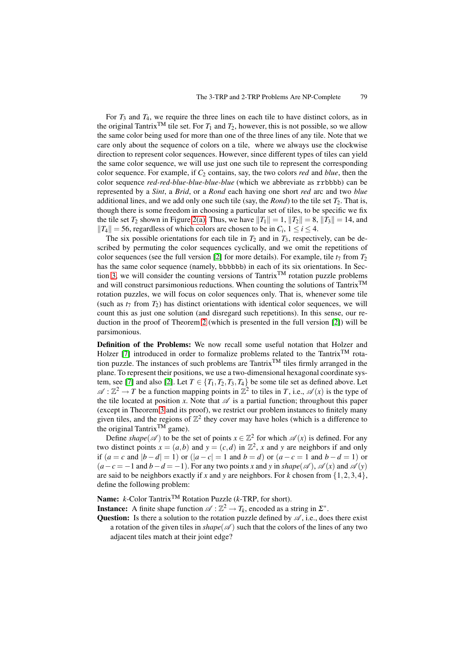For *T*<sup>3</sup> and *T*4, we require the three lines on each tile to have distinct colors, as in the original Tantrix<sup>TM</sup> tile set. For  $T_1$  and  $T_2$ , however, this is not possible, so we allow the same color being used for more than one of the three lines of any tile. Note that we care only about the sequence of colors on a tile, where we always use the clockwise direction to represent color sequences. However, since different types of tiles can yield the same color sequence, we will use just one such tile to represent the corresponding color sequence. For example, if  $C_2$  contains, say, the two colors *red* and *blue*, then the color sequence *red-red-blue-blue-blue-blue* (which we abbreviate as rrbbbb) can be represented by a *Sint*, a *Brid*, or a *Rond* each having one short *red* arc and two *blue* additional lines, and we add only one such tile (say, the *Rond*) to the tile set *T*2. That is, though there is some freedom in choosing a particular set of tiles, to be specific we fix the tile set  $T_2$  shown in Figure 2(a). Thus, we have  $||T_1|| = 1$ ,  $||T_2|| = 8$ ,  $||T_3|| = 14$ , and  $||T_4|| = 56$ , regardless of which colors are chosen to be in  $C_i$ ,  $1 \le i \le 4$ .

The six possible orientations for each tile in  $T_2$  and in  $T_3$ , respectively, can be described by permuting the color sequences cyclically, and we omit the repetitions of color sequences (see the full [versio](#page-2-2)n [2] for more details). For example, tile  $t_7$  from  $T_2$ has the same color sequence (namely, bbbbbb) in each of its six orientations. In Section 3, we will consider the counting versions of Tantrix<sup>TM</sup> rotation puzzle problems and will construct parsimonious reductions. When counting the solutions of Tantrix<sup>TM</sup> rotation puzzles, we will focus on c[olo](#page-10-0)r sequences only. That is, whenever some tile (such as  $t_7$  from  $T_2$ ) has distinct orientations with identical color sequences, we will cou[nt](#page-4-1) this as just one solution (and disregard such repetitions). In this sense, our reduction in the proof of Theorem 2 (which is presented in the full version [2]) will be parsimonious.

**Definition of the Problems:** We now recall some useful notation that Holzer and Holzer [7] introduced in order to formalize problems related to the Tantrix<sup>TM</sup> rotation puzzle. T[h](#page-9-1)e instances of such [p](#page-9-1)roblems are Tantrix<sup>TM</sup> tiles firmly arra[ng](#page-10-0)ed in the plane. To represent their positions, we use a two-dimensional hexagonal coordinate system, see [7] and also [2]. Let  $T \in \{T_1, T_2, T_3, T_4\}$  be some tile set as defined above. Let  $\mathscr{A}: \mathbb{Z}^2 \to T$  be a function mapping points in  $\mathbb{Z}^2$  to tiles in *T*, i.e.,  $\mathscr{A}(x)$  is the type of the tile located at position *x*. Note that  $\mathscr A$  is a partial function; throughout this paper (except in Theorem 3 and its proof), we restrict our problem instances to finitely many given tile[s,](#page-11-0) and the re[gi](#page-10-0)ons of  $\mathbb{Z}^2$  they cover may have holes (which is a difference to the original Tantrix<sup>TM</sup> game).

Define *shape*( $\mathscr A$ ) to be the set of points  $x \in \mathbb{Z}^2$  for which  $\mathscr A(x)$  is defined. For any two distinct points  $x = (a, b)$  $x = (a, b)$  and  $y = (c, d)$  in  $\mathbb{Z}^2$ , x and y are neighbors if and only if (*a* = *c* and  $|b - d|$  = 1) or ( $|a - c|$  = 1 and  $b = d$ ) or (*a* − *c* = 1 and  $b - d$  = 1) or  $(a-c=-1$  and  $b-d=-1)$ . For any two points *x* and *y* in *shape*( $\mathscr{A}$ ),  $\mathscr{A}(x)$  and  $\mathscr{A}(y)$ are said to be neighbors exactly if *x* and *y* are neighbors. For *k* chosen from  $\{1,2,3,4\}$ , define the following problem:

**Name:** *k*-Color TantrixTM Rotation Puzzle (*k*-TRP, for short).

**Instance:** A finite shape function  $\mathscr{A} : \mathbb{Z}^2 \to T_k$ , encoded as a string in  $\Sigma^*$ .

**Question:** Is there a solution to the rotation puzzle defined by  $\mathscr{A}$ , i.e., does there exist a rotation of the given tiles in  $shape(\mathscr{A})$  such that the colors of the lines of any two adjacent tiles match at their joint edge?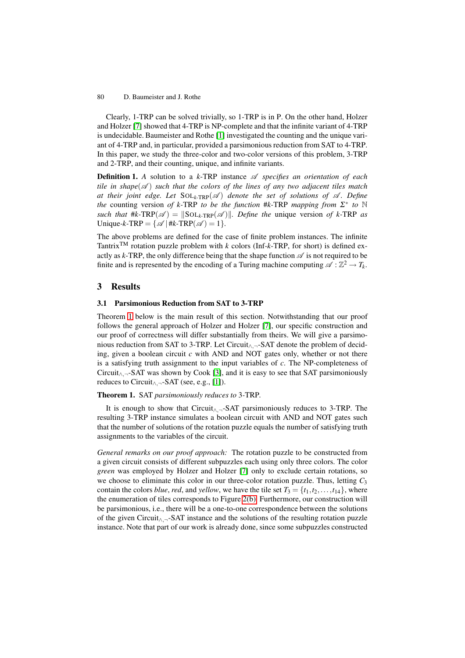#### 80 D. Baumeister and J. Rothe

Clearly, 1-TRP can be solved trivially, so 1-TRP is in P. On the other hand, Holzer and Holzer [7] showed that 4-TRP is NP-complete and that the infinite variant of 4-TRP is undecidable. Baumeister and Rothe [1] investigated the counting and the unique variant of 4-TRP and, in particular, provided a parsimonious reduction from SAT to 4-TRP. In this paper, we study the three-color and two-color versions of this problem, 3-TRP and 2-TRP, [an](#page-11-0)d their counting, unique, and infinite variants.

**Definition 1.** *A* solution to a *k*-TRP [in](#page-10-3)stance *A specifies an orientation of each tile in shape*(*A* ) *such that the colors of the lines of any two adjacent tiles match at their joint edge. Let*  $SOL_{k-TRP}(\mathscr{A})$  *denote the set of solutions of*  $\mathscr{A}$ *. Define the* counting version *of k-*TRP *to be the function* #*k-*TRP *mapping from* <sup>Σ</sup><sup>∗</sup> *to* N *such that* #*k*-TRP( $\mathscr{A}$ ) =  $||\text{SOL}_{k-TRP}(\mathscr{A})||$ . Define the unique version of k-TRP as Unique-k-TRP =  $\{\mathscr{A} | \#k\text{-TRP}(\mathscr{A}) = 1\}.$ 

The above problems are defined for the case of finite problem instances. The infinite Tantrix<sup>TM</sup> rotation puzzle problem with  $k$  colors (Inf- $k$ -TRP, for short) is defined exactly as *k*-TRP, the only difference being that the shape function  $\mathscr A$  is not required to be finite and is represented by the encoding of a Turing machine computing  $\mathscr{A} : \mathbb{Z}^2 \to T_k$ .

#### **3 Results**

#### **3.1 Parsimonious Reduction from SAT to 3-TRP**

<span id="page-4-1"></span>Theorem 1 below is the main result of this section. Notwithstanding that our proof follows the general approach of Holzer and Holzer [7], our specific construction and our proof of correctness will differ substantially from theirs. We will give a parsimonious reduction from SAT to 3-TRP. Let Circuit∧,¬-SAT denote the problem of deciding, give[n a](#page-4-0) boolean circuit *c* with AND and NOT gates only, whether or not there is a satisfying truth assignment to the input variabl[es](#page-11-0) of *c*. The NP-completeness of Circuit<sub>∧, $\neg$ </sub>-SAT was shown by Cook [3], and it is easy to see that SAT parsimoniously reduces to Circuit<sub>∧, $\neg$ </sub>-SAT (see, e.g., [1]).

#### **Theorem 1.** SAT *parsimoniously reduces to* 3*-*TRP*.*

<span id="page-4-0"></span>It is enough to show that Circuit[∧](#page-10-4),¬-SAT parsimoniously reduces to 3-TRP. The resulting 3-TRP instance simulates a [b](#page-10-3)oolean circuit with AND and NOT gates such that the number of solutions of the rotation puzzle equals the number of satisfying truth assignments to the variables of the circuit.

*General remarks on our proof approach:* The rotation puzzle to be constructed from a given circuit consists of different subpuzzles each using only three colors. The color *green* was employed by Holzer and Holzer [7] only to exclude certain rotations, so we choose to eliminate this color in our three-color rotation puzzle. Thus, letting *C*<sup>3</sup> contain the colors *blue*, *red*, and *yellow*, we have the tile set  $T_3 = \{t_1, t_2, \ldots, t_{14}\}$ , where the enumeration of tiles corresponds to Figure 2(b). Furthermore, our construction will be parsimonious, i.e., there will be a one-to-o[ne](#page-11-0) correspondence between the solutions of the given Circuit<sub>∧, $\neg$ </sub>-SAT instance and the solutions of the resulting rotation puzzle instance. Note that part of our work is already done, since some subpuzzles constructed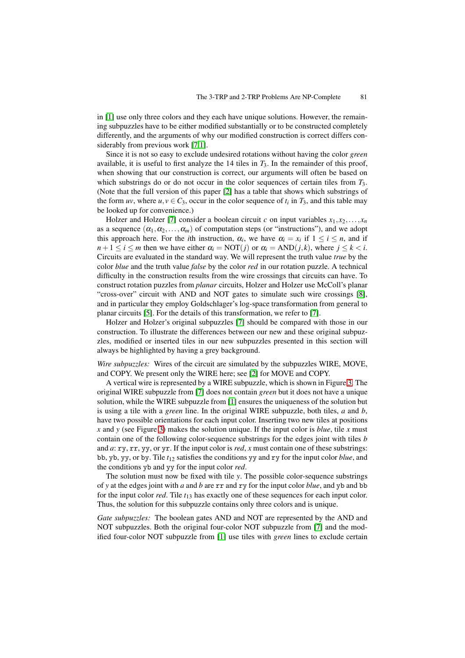in [1] use only three colors and they each have unique solutions. However, the remaining subpuzzles have to be either modified substantially or to be constructed completely differently, and the arguments of why our modified construction is correct differs considerably from previous work [7,1].

[Sin](#page-10-3)ce it is not so easy to exclude undesired rotations without having the color *green* available, it is useful to first analyze the  $14$  tiles in  $T_3$ . In the remainder of this proof, when showing that our construction is correct, our arguments will often be based on which substrings do or do no[t](#page-11-0) [oc](#page-10-3)cur in the color sequences of certain tiles from *T*3. (Note that the full version of this paper [2] has a table that shows which substrings of the form *uv*, where  $u, v \in C_3$ , occur in the color sequence of  $t_i$  in  $T_3$ , and this table may be looked up for convenience.)

Holzer and Holzer [7] consider a boolean circuit *c* on input variables  $x_1, x_2, \ldots, x_n$ as a sequence  $(\alpha_1, \alpha_2, \dots, \alpha_m)$  of comp[uta](#page-10-0)tion steps (or "instructions"), and we adopt this approach here. For the *i*th instruction,  $\alpha_i$ , we have  $\alpha_i = x_i$  if  $1 \le i \le n$ , and if  $n+1 \leq i \leq m$  then we have either  $\alpha_i = \text{NOT}(j)$  or  $\alpha_i = \text{AND}(j,k)$ , where  $j \leq k < i$ . Circuits are evaluated i[n](#page-11-0) the standard way. We will represent the truth value *true* by the color *blue* and the truth value *false* by the color *red* in our rotation puzzle. A technical difficulty in the construction results from the wire crossings that circuits can have. To construct rotation puzzles from *planar* circuits, Holzer and Holzer use McColl's planar "cross-over" circuit with AND and NOT gates to simulate such wire crossings [8], and in particular they employ Goldschlager's log-space transformation from general to planar circuits [5]. For the details of this transformation, we refer to [7].

Holzer and Holzer's original subpuzzles [7] should be compared with those in our construction. To illustrate the differences between our new and these original subp[uz](#page-11-6)zles, modified or inserted tiles in our new subpuzzles presented in this section will always be high[lig](#page-11-7)hted by having a grey background.

*Wire subpuzzles:* Wires of the circuit are si[mu](#page-11-0)lated by the subpuzzles WIRE, MOVE, and COPY. We present only the WIRE here; see [2] for MOVE and COPY.

A vertical wire is represented by a WIRE subpuzzle, which is shown in Figure 3. The original WIRE subpuzzle from [7] does not contain *green* but it does not have a unique solution, while the WIRE subpuzzle from [1] ensures the uniqueness of the solution but is using a tile with a *green* line. In the original [W](#page-10-0)IRE subpuzzle, both tiles, *a* and *b*, have two possible orientations for each input color. Inserting two new tiles at p[osit](#page-6-0)ions *x* and *y* (see Figure 3) makes th[e s](#page-11-0)olution unique. If the input color is *blue*, tile *x* must contain one of the following color-sequen[ce](#page-10-3) substrings for the edges joint with tiles *b* and *a*: ry, rr, yy, or yr. If the input color is *red*, *x* must contain one of these substrings: bb, yb, yy, or by. Tile *t*<sup>12</sup> satisfies the conditions yy and ry for the input color *blue*, and the conditions yb a[nd](#page-6-0) yy for the input color *red*.

The solution must now be fixed with tile *y*. The possible color-sequence substrings of *y* at the edges joint with *a* and *b* are rr and ry for the input color *blue*, and yb and bb for the input color *red*. Tile *t*<sup>13</sup> has exactly one of these sequences for each input color. Thus, the solution for this subpuzzle contains only three colors and is unique.

*Gate subpuzzles:* The boolean gates AND and NOT are represented by the AND and NOT subpuzzles. Both the original four-color NOT subpuzzle from [7] and the modified four-color NOT subpuzzle from [1] use tiles with *green* lines to exclude certain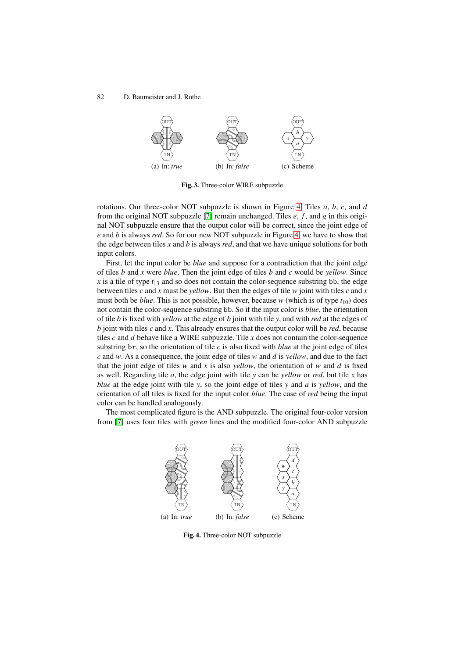

**Fig. 3.** Three-color WIRE subpuzzle

<span id="page-6-0"></span>rotations. Our three-color NOT subpuzzle is shown in Figure 4. Tiles *a*, *b*, *c*, and *d* from the original NOT subpuzzle [7] remain unchanged. Tiles *e*, *f* , and *g* in this original NOT subpuzzle ensure that the output color will be correct, since the joint edge of *e* and *b* is always *red*. So for our new NOT subpuzzle in Figure 4, we have to show that the edge between tiles *x* and *b* is always *red*, and that we have u[niq](#page-6-1)ue solutions for both input colors.

First, let the input color be *blue* and suppose for a contradiction that the joint edge of tiles *b* and *x* were *blue*. Then the joint edge of tiles *b* and *c* [w](#page-6-1)ould be *yellow*. Since  *is a tile of type*  $t_{13}$  *and so does not contain the color-sequence substring bb, the edge* between tiles *c* and *x* must be *yellow*. But then the edges of tile *w* joint with tiles *c* and *x* must both be *blue*. This is not possible, however, because  $w$  (which is of type  $t_{10}$ ) does not contain the color-sequence substring bb. So if the input color is *blue*, the orientation of tile *b* is fixed with *yellow* at the edge of *b* joint with tile *y*, and with *red* at the edges of *b* joint with tiles *c* and *x*. This already ensures that the output color will be *red*, because tiles *c* and *d* behave like a WIRE subpuzzle. Tile *x* does not contain the color-sequence substring br, so the orientation of tile *c* is also fixed with *blue* at the joint edge of tiles *c* and *w*. As a consequence, the joint edge of tiles *w* and *d* is *yellow*, and due to the fact that the joint edge of tiles  $w$  and  $x$  is also *yellow*, the orientation of  $w$  and  $d$  is fixed as well. Regarding tile *a*, the edge joint with tile *y* can be *yellow* or *red*, but tile *x* has *blue* at the edge joint with tile *y*, so the joint edge of tiles *y* and *a* is *yellow*, and the orientation of all tiles is fixed for the input color *blue*. The case of *red* being the input color can be handled analogously.

The most complicated figure is the AND subpuzzle. The original four-color version from [7] uses four tiles with *green* lines and the modified four-color AND subpuzzle



<span id="page-6-1"></span>**Fig. 4.** Three-color NOT subpuzzle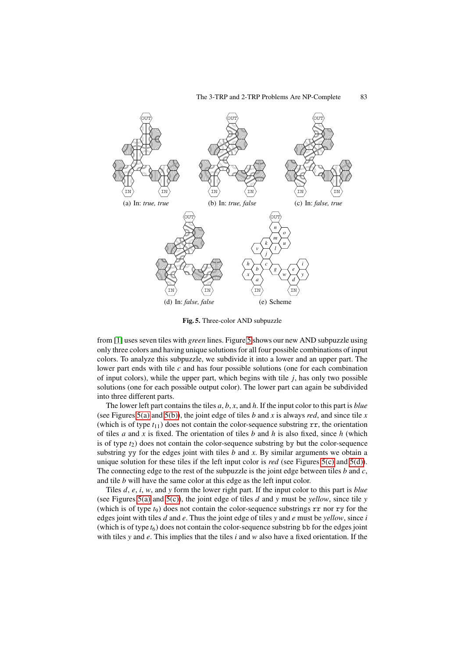<span id="page-7-1"></span>

<span id="page-7-3"></span><span id="page-7-2"></span>**Fig. 5.** Three-color AND subpuzzle

<span id="page-7-4"></span><span id="page-7-0"></span>from [1] uses seven tiles with *green* lines. Figure 5 shows our new AND subpuzzle using only three colors and having unique solutions for all four possible combinations of input colors. To analyze this subpuzzle, we subdivide it into a lower and an upper part. The lower part ends with tile *c* and has four possible solutions (one for each combination of in[put](#page-10-3) colors), while the upper part, which b[egi](#page-7-0)ns with tile *j*, has only two possible solutions (one for each possible output color). The lower part can again be subdivided into three different parts.

The lower left part contains the tiles *a*, *b*, *x*, and *h*. If the input color to this part is *blue* (see Figures 5(a) and 5(b)), the joint edge of tiles *b* and *x* is always *red*, and since tile *x* (which is of type  $t_{11}$ ) does not contain the color-sequence substring  $rr$ , the orientation of tiles *a* and *x* is fixed. The orientation of tiles *b* and *h* is also fixed, since *h* (which is of type  $t_2$ ) does not contain the color-sequence substring by but the color-sequence substring yy [for](#page-7-1) the [edges](#page-7-2) joint with tiles  $b$  and  $x$ . By similar arguments we obtain a unique solution for these tiles if the left input color is *red* (see Figures 5(c) and 5(d)). The connecting edge to the rest of the subpuzzle is the joint edge between tiles *b* and *c*, and tile *b* will have the same color at this edge as the left input color.

Tiles *d*, *e*, *i*, *w*, and *y* form the lower right part. If the input color to this part is *blue* (see Figures 5(a) and 5(c)), the joint edge of tiles *d* and *y* must be *yell[ow](#page-7-3)*, since [tile](#page-7-4) *y* (which is of type *t*9) does not contain the color-sequence substrings rr nor ry for the edges joint with tiles *d* and *e*. Thus the joint edge of tiles *y* and *e* must be *yellow*, since *i* (which is of type  $t_6$ ) does not contain the color-sequence substring bb for the edges joint with tiles *y* [and](#page-7-1) *e*. Thi[s imp](#page-7-3)lies that the tiles *i* and *w* also have a fixed orientation. If the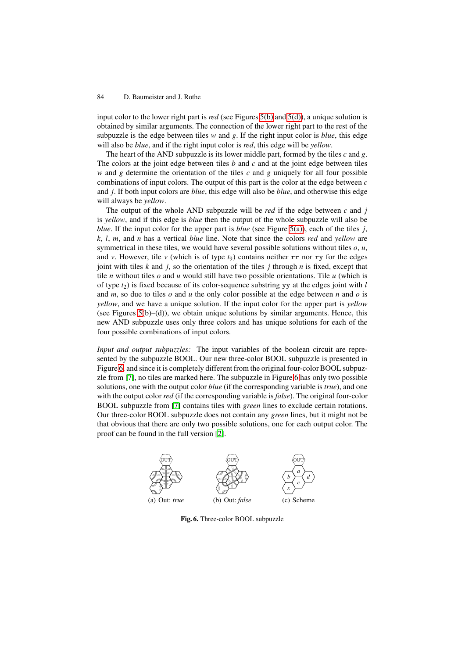#### 84 D. Baumeister and J. Rothe

input color to the lower right part is *red* (see Figures 5(b) and 5(d)), a unique solution is obtained by similar arguments. The connection of the lower right part to the rest of the subpuzzle is the edge between tiles *w* and *g*. If the right input color is *blue*, this edge will also be *blue*, and if the right input color is *red*, this edge will be *yellow*.

The heart of the AND subpuzzle is its lower mid[dle pa](#page-7-2)rt, f[orme](#page-7-4)d by the tiles *c* and *g*. The colors at the joint edge between tiles *b* and *c* and at the joint edge between tiles *w* and *g* determine the orientation of the tiles *c* and *g* uniquely for all four possible combinations of input colors. The output of this part is the color at the edge between *c* and *j*. If both input colors are *blue*, this edge will also be *blue*, and otherwise this edge will always be *yellow*.

The output of the whole AND subpuzzle will be *red* if the edge between *c* and *j* is *yellow*, and if this edge is *blue* then the output of the whole subpuzzle will also be *blue*. If the input color for the upper part is *blue* (see Figure 5(a)), each of the tiles *j*, *k*, *l*, *m*, and *n* has a vertical *blue* line. Note that since the colors *red* and *yellow* are symmetrical in these tiles, we would have several possible solutions without tiles  $o, u$ , and *v*. However, tile *v* (which is of type  $t_9$ ) contains neither  $rr$  nor  $ry$  for the edges joint with tiles *k* and *j*, so the orientation of the tiles *j* thro[ugh](#page-7-1) *n* is fixed, except that tile *n* without tiles *o* and *u* would still have two possible orientations. Tile *u* (which is of type  $t_2$ ) is fixed because of its color-sequence substring yy at the edges joint with  $l$ and *m*, so due to tiles  $\sigma$  and  $\mu$  the only color possible at the edge between *n* and  $\sigma$  is *yellow*, and we have a unique solution. If the input color for the upper part is *yellow* (see Figures  $5(b)$ –(d)), we obtain unique solutions by similar arguments. Hence, this new AND subpuzzle uses only three colors and has unique solutions for each of the four possible combinations of input colors.

*Input and o[utp](#page-7-0)ut subpuzzles:* The input variables of the boolean circuit are represented by the subpuzzle BOOL. Our new three-color BOOL subpuzzle is presented in Figure 6, and since it is completely different from the original four-color BOOL subpuzzle from [7], no tiles are marked here. The subpuzzle in Figure 6 has only two possible solutions, one with the output color *blue* (if the corresponding variable is *true*), and one with the output color *red* (if the corresponding variable is *false*). The original four-color BOO[L s](#page-8-0)ubpuzzle from [7] contains tiles with *green* lines to exclude certain rotations. Our three[-c](#page-11-0)olor BOOL subpuzzle does not contain any *green* l[ine](#page-8-0)s, but it might not be that obvious that there are only two possible solutions, one for each output color. The proof can be found in the full version [2].



<span id="page-8-0"></span>**Fig. 6.** Three-color BOOL subpuzzle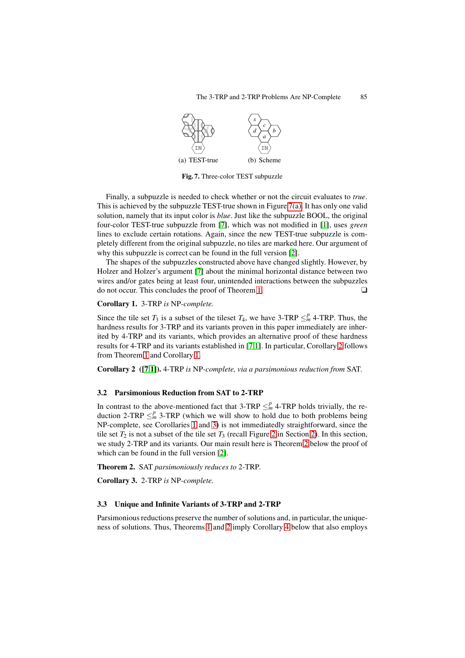

**Fig. 7.** Three-color TEST subpuzzle

<span id="page-9-3"></span>Finally, a subpuzzle is needed to check whether or not the circuit evaluates to *true*. This is achieved by the subpuzzle TEST-true shown in Figure  $7(a)$ . It has only one valid solution, namely that its input color is *blue*. Just like the subpuzzle BOOL, the original four-color TEST-true subpuzzle from [7], which was not modified in [1], uses *green* lines to exclude certain rotations. Again, since the new TEST-true subpuzzle is completely different from the original subpuzzle, no tiles are mar[ked h](#page-9-3)ere. Our argument of why this subpuzzle is correct can be found in the full version [2].

The shapes of the subpuzzles constr[uct](#page-11-0)ed above have changed slightl[y.](#page-10-3) However, by Holzer and Holzer's argument [7] about the minimal horizontal distance between two wires and/or gates being at least four, unintended interactions between the subpuzzles do not occur. This concludes the proof of Theorem 1. ❑

**Corollary 1.** 3*-*TRP *is* NP*-co[mpl](#page-11-0)ete.*

<span id="page-9-2"></span>Since the tile set  $T_3$  is a subset of the tileset  $T_4$ , we have 3-TRP  $\leq_m^p 4$ -TRP. Thus, the hardness results for 3-TRP and its variants proven [in](#page-4-0) this paper immediately are inherited by 4-TRP and its variants, which provides an alternative proof of these hardness results for 4-TRP and its variants established in [7,1]. In particular, Corollary 2 follows from Theorem 1 and Corollary 1.

**Corollary 2 ([7,1]).** 4*-*TRP *is* NP*-complete, via a parsimonious reduction from* SAT*.*

#### **3.2 Parsimo[nio](#page-4-0)us Reductio[n f](#page-9-2)rom SAT to 2-TRP**

In contrast to [th](#page-11-0)[e a](#page-10-3)bove-mentioned fact that  $3$ -TRP  $\leq^p_m 4$ -TRP holds trivially, the reduction 2-TRP  $\leq^p_m 3$ -TRP (which we will show to hold due to both problems being NP-complete, see Corollaries 1 and 3) is not immediatedly straightforward, since the tile set  $T_2$  is not a subset of the tile set  $T_3$  (recall Figure 2 in Section 2). In this section, we study 2-TRP and its variants. Our main result here is Theorem 2 below the proof of which can be found in the full version [2].

**Theorem 2.** SAT *parsimonio[us](#page-9-2)ly re[du](#page-9-0)ces to* 2*-*TRP*.*

**Corollary 3.** 2*-*TRP *is* NP*-complete.*

#### <span id="page-9-1"></span>**3.3 Unique and Infinite Variants of 3-TRP and 2-TRP**

<span id="page-9-0"></span>Parsimonious reductions preserve the number of solutions and, in particular, the uniqueness of solutions. Thus, Theorems 1 and 2 imply Corollary 4 below that also employs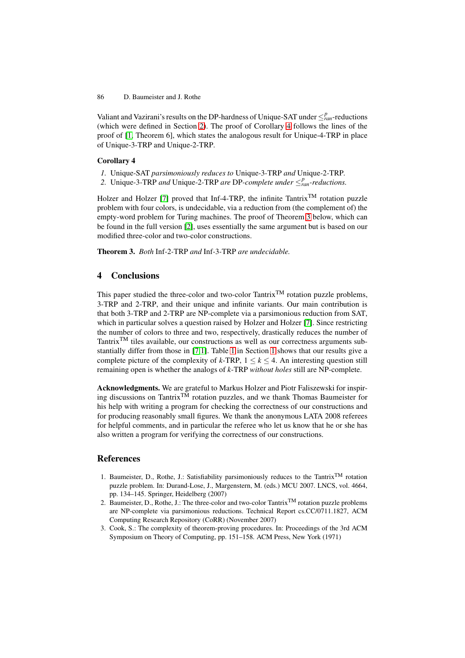86 D. Baumeister and J. Rothe

Valiant and Vazirani's results on the DP-hardness of Unique-SAT under ≤*<sup>p</sup> ran*-reductions (which were defined in Section 2). The proof of Corollary 4 follows the lines of the proof of [1, Theorem 6], which states the analogous result for Unique-4-TRP in place of Unique-3-TRP and Unique-2-TRP.

### **Corollary 4**

- *1.* Uniq[ue](#page-10-3)*-*SAT *parsimoniously reduces to* Unique*-*3*-*TRP *and* Unique*-*2*-*TRP*.*
- 2. Unique-3-TRP *and* Unique-2-TRP *are* DP-*complete under*  $\leq_{ran}^p$ -reductions.

<span id="page-10-1"></span>Holzer and Holzer [7] proved that Inf-4-TRP, the infinite Tantrix<sup>TM</sup> rotation puzzle problem with four colors, is undecidable, via a reduction from (the complement of) the empty-word problem for Turing machines. The proof of Theorem 3 below, which can be found in the full version [2], uses essentially the same argument but is based on our modified three-color [an](#page-11-0)d two-color constructions.

**Theorem 3.** *Both* Inf*-*2*-*TRP *and* Inf*-*3*-*TRP *are undecidable.*

# <span id="page-10-2"></span>**4 Conclusions**

This paper studied the three-color and two-color  $T_{\text{antrix}}^{\text{TM}}$  rotation puzzle problems, 3-TRP and 2-TRP, and their unique and infinite variants. Our main contribution is that both 3-TRP and 2-TRP are NP-complete via a parsimonious reduction from SAT, which in particular solves a question raised by Holzer and Holzer [7]. Since restricting the number of colors to three and two, respectively, drastically reduces the number of Tantrix<sup>TM</sup> tiles available, our constructions as well as our correctness arguments substantially differ from those in [7,1]. Table 1 in Section 1 shows that our results give a complete picture of the complexity of *k*-TRP,  $1 \leq k \leq 4$ . An inte[res](#page-11-0)ting question still remaining open is whether the analogs of *k*-TRP *without holes* still are NP-complete.

**Acknowledgments.** We are gr[ate](#page-11-0)[fu](#page-10-3)l to Ma[rk](#page-1-0)us Holzer [and](#page-0-0) Piotr Faliszewski for inspiring discussions on Tantrix<sup>TM</sup> rotation puzzles, and we thank Thomas Baumeister for his help with writing a program for checking the correctness of our constructions and for producing reasonably small figures. We thank the anonymous LATA 2008 referees for helpful comments, and in particular the referee who let us know that he or she has also written a program for verifying the correctness of our constructions.

## **References**

- 1. Baumeister, D., Rothe, J.: Satisfiability parsimoniously reduces to the Tantrix<sup>TM</sup> rotation puzzle problem. In: Durand-Lose, J., Margenstern, M. (eds.) MCU 2007. LNCS, vol. 4664, pp. 134–145. Springer, Heidelberg (2007)
- <span id="page-10-3"></span>2. Baumeister, D., Rothe, J.: The three-color and two-color  $T_{\text{antrix}}^{\text{TM}}$  rotation puzzle problems are NP-complete via parsimonious reductions. Technical Report cs.CC/0711.1827, ACM Computing Research Repository (CoRR) (November 2007)
- <span id="page-10-4"></span><span id="page-10-0"></span>3. Cook, S.: The complexity of theorem-proving procedures. In: Proceedings of the 3rd ACM Symposium on Theory of Computing, pp. 151–158. ACM Press, New York (1971)